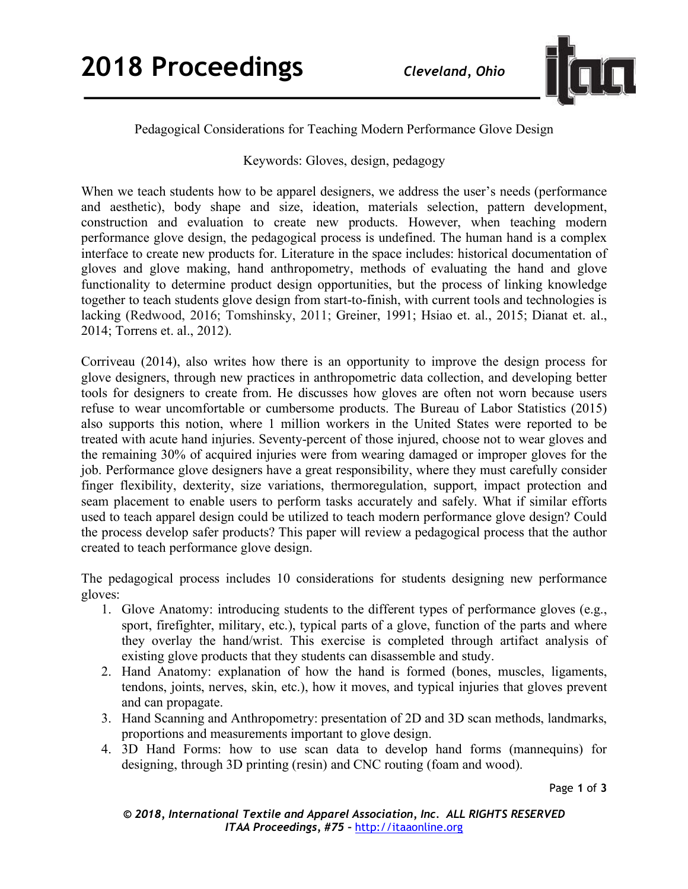

## Pedagogical Considerations for Teaching Modern Performance Glove Design

## Keywords: Gloves, design, pedagogy

When we teach students how to be apparel designers, we address the user's needs (performance) and aesthetic), body shape and size, ideation, materials selection, pattern development, construction and evaluation to create new products. However, when teaching modern performance glove design, the pedagogical process is undefined. The human hand is a complex interface to create new products for. Literature in the space includes: historical documentation of gloves and glove making, hand anthropometry, methods of evaluating the hand and glove functionality to determine product design opportunities, but the process of linking knowledge together to teach students glove design from start-to-finish, with current tools and technologies is lacking (Redwood, 2016; Tomshinsky, 2011; Greiner, 1991; Hsiao et. al., 2015; Dianat et. al., 2014; Torrens et. al., 2012).

Corriveau (2014), also writes how there is an opportunity to improve the design process for glove designers, through new practices in anthropometric data collection, and developing better tools for designers to create from. He discusses how gloves are often not worn because users refuse to wear uncomfortable or cumbersome products. The Bureau of Labor Statistics (2015) also supports this notion, where 1 million workers in the United States were reported to be treated with acute hand injuries. Seventy-percent of those injured, choose not to wear gloves and the remaining 30% of acquired injuries were from wearing damaged or improper gloves for the job. Performance glove designers have a great responsibility, where they must carefully consider finger flexibility, dexterity, size variations, thermoregulation, support, impact protection and seam placement to enable users to perform tasks accurately and safely. What if similar efforts used to teach apparel design could be utilized to teach modern performance glove design? Could the process develop safer products? This paper will review a pedagogical process that the author created to teach performance glove design.

The pedagogical process includes 10 considerations for students designing new performance gloves:

- 1. Glove Anatomy: introducing students to the different types of performance gloves (e.g., sport, firefighter, military, etc.), typical parts of a glove, function of the parts and where they overlay the hand/wrist. This exercise is completed through artifact analysis of existing glove products that they students can disassemble and study.
- 2. Hand Anatomy: explanation of how the hand is formed (bones, muscles, ligaments, tendons, joints, nerves, skin, etc.), how it moves, and typical injuries that gloves prevent and can propagate.
- 3. Hand Scanning and Anthropometry: presentation of 2D and 3D scan methods, landmarks, proportions and measurements important to glove design.
- 4. 3D Hand Forms: how to use scan data to develop hand forms (mannequins) for designing, through 3D printing (resin) and CNC routing (foam and wood).

Page **1** of **3**

*© 2018, International Textile and Apparel Association, Inc. ALL RIGHTS RESERVED ITAA Proceedings, #75 –* http://itaaonline.org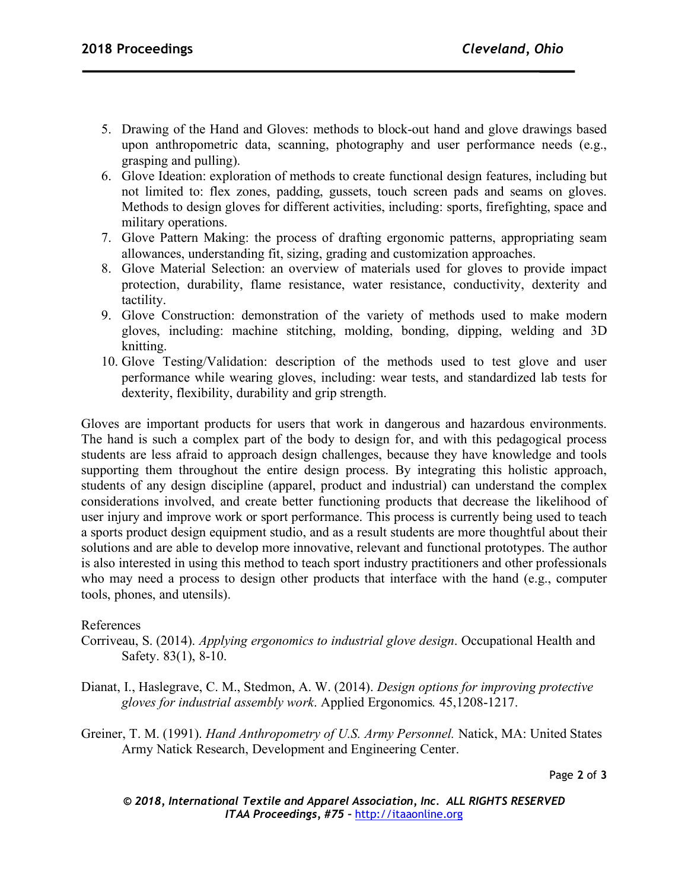- 5. Drawing of the Hand and Gloves: methods to block-out hand and glove drawings based upon anthropometric data, scanning, photography and user performance needs (e.g., grasping and pulling).
- 6. Glove Ideation: exploration of methods to create functional design features, including but not limited to: flex zones, padding, gussets, touch screen pads and seams on gloves. Methods to design gloves for different activities, including: sports, firefighting, space and military operations.
- 7. Glove Pattern Making: the process of drafting ergonomic patterns, appropriating seam allowances, understanding fit, sizing, grading and customization approaches.
- 8. Glove Material Selection: an overview of materials used for gloves to provide impact protection, durability, flame resistance, water resistance, conductivity, dexterity and tactility.
- 9. Glove Construction: demonstration of the variety of methods used to make modern gloves, including: machine stitching, molding, bonding, dipping, welding and 3D knitting.
- 10. Glove Testing/Validation: description of the methods used to test glove and user performance while wearing gloves, including: wear tests, and standardized lab tests for dexterity, flexibility, durability and grip strength.

Gloves are important products for users that work in dangerous and hazardous environments. The hand is such a complex part of the body to design for, and with this pedagogical process students are less afraid to approach design challenges, because they have knowledge and tools supporting them throughout the entire design process. By integrating this holistic approach, students of any design discipline (apparel, product and industrial) can understand the complex considerations involved, and create better functioning products that decrease the likelihood of user injury and improve work or sport performance. This process is currently being used to teach a sports product design equipment studio, and as a result students are more thoughtful about their solutions and are able to develop more innovative, relevant and functional prototypes. The author is also interested in using this method to teach sport industry practitioners and other professionals who may need a process to design other products that interface with the hand (e.g., computer tools, phones, and utensils).

## References

- Corriveau, S. (2014). *Applying ergonomics to industrial glove design*. Occupational Health and Safety. 83(1), 8-10.
- Dianat, I., Haslegrave, C. M., Stedmon, A. W. (2014). *Design options for improving protective gloves for industrial assembly work*. Applied Ergonomics*.* 45,1208-1217.
- Greiner, T. M. (1991). *Hand Anthropometry of U.S. Army Personnel.* Natick, MA: United States Army Natick Research, Development and Engineering Center.

Page **2** of **3**

*© 2018, International Textile and Apparel Association, Inc. ALL RIGHTS RESERVED ITAA Proceedings, #75 –* http://itaaonline.org